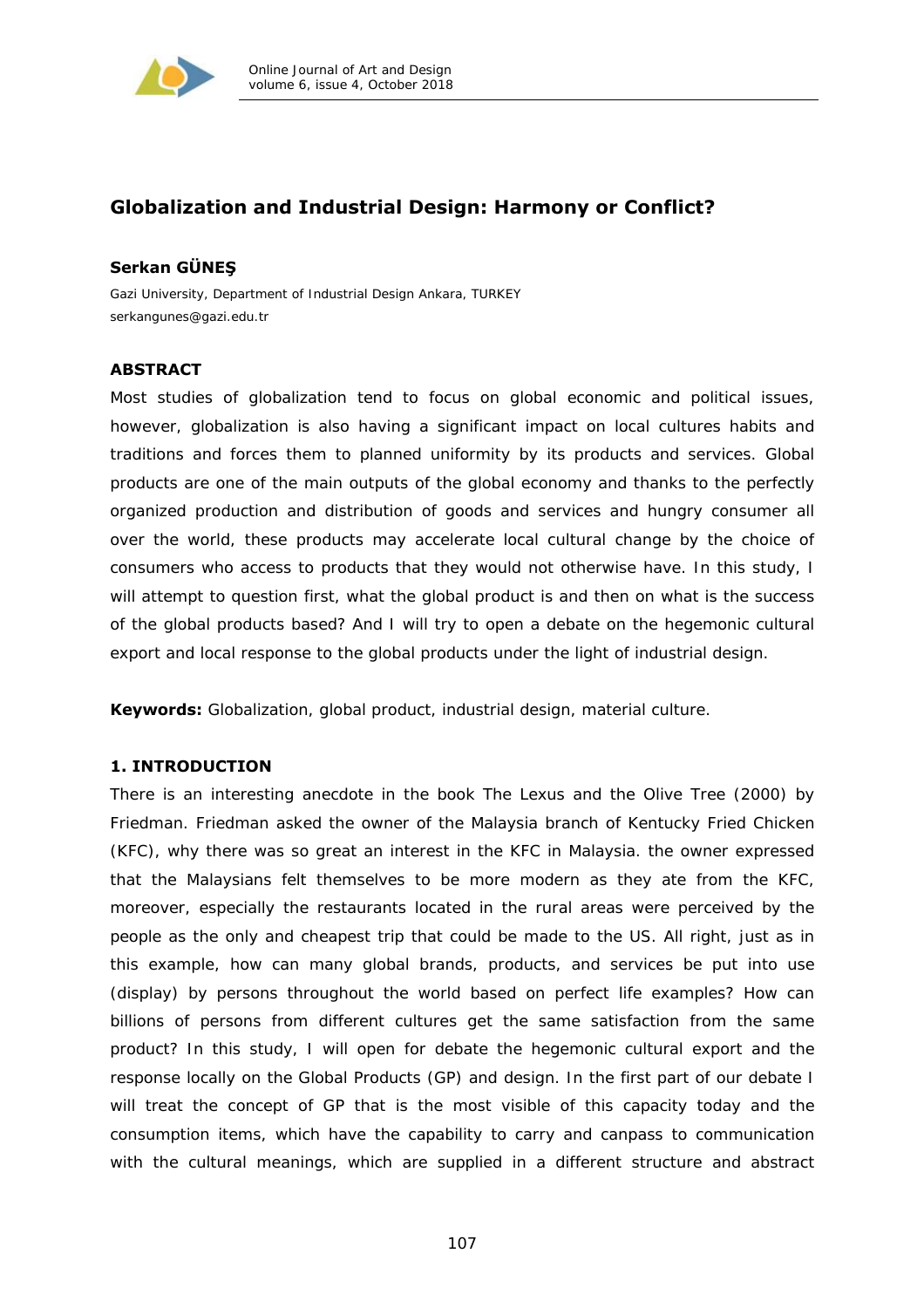

# **Globalization and Industrial Design: Harmony or Conflict?**

## **Serkan GÜNEŞ**

*Gazi University, Department of Industrial Design Ankara, TURKEY serkangunes@gazi.edu.tr* 

## **ABSTRACT**

Most studies of globalization tend to focus on global economic and political issues, however, globalization is also having a significant impact on local cultures habits and traditions and forces them to planned uniformity by its products and services. Global products are one of the main outputs of the global economy and thanks to the perfectly organized production and distribution of goods and services and hungry consumer all over the world, these products may accelerate local cultural change by the choice of consumers who access to products that they would not otherwise have. In this study, I will attempt to question first, what the global product is and then on what is the success of the global products based? And I will try to open a debate on the hegemonic cultural export and local response to the global products under the light of industrial design.

**Keywords:** Globalization, global product, industrial design, material culture.

## **1. INTRODUCTION**

There is an interesting anecdote in the book *The Lexus and the Olive Tree* (2000) by Friedman. Friedman asked the owner of the Malaysia branch of Kentucky Fried Chicken (KFC), why there was so great an interest in the KFC in Malaysia. the owner expressed that the Malaysians felt themselves to be more modern as they ate from the KFC, moreover, especially the restaurants located in the rural areas were perceived by the people as the only and cheapest trip that could be made to the US. All right, just as in this example, how can many global brands, products, and services be put into use (display) by persons throughout the world based on perfect life examples? How can billions of persons from different cultures get the same satisfaction from the same product? In this study, I will open for debate the hegemonic cultural export and the response locally on the Global Products (GP) and design. In the first part of our debate I will treat the concept of GP that is the most visible of this capacity today and the consumption items, which have the capability to carry and canpass to communication with the cultural meanings, which are supplied in a different structure and abstract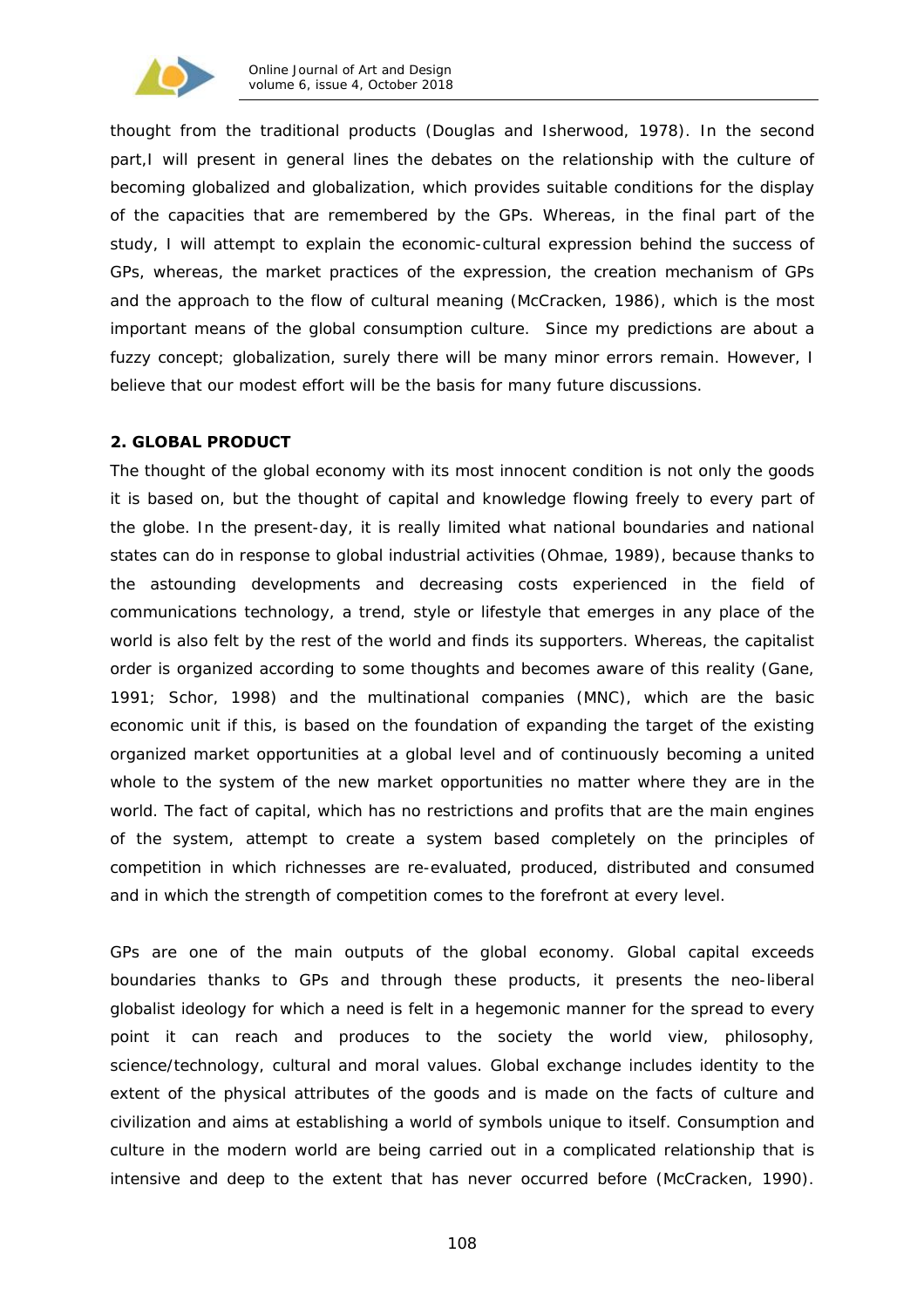

thought from the traditional products (Douglas and Isherwood, 1978). In the second part,I will present in general lines the debates on the relationship with the culture of becoming globalized and globalization, which provides suitable conditions for the display of the capacities that are remembered by the GPs. Whereas, in the final part of the study, I will attempt to explain the economic-cultural expression behind the success of GPs, whereas, the market practices of the expression, the creation mechanism of GPs and the approach to the flow of cultural meaning (McCracken, 1986), which is the most important means of the global consumption culture. Since my predictions are about a fuzzy concept; globalization, surely there will be many minor errors remain. However, I believe that our modest effort will be the basis for many future discussions.

## **2. GLOBAL PRODUCT**

The thought of the global economy with its most innocent condition is not only the goods it is based on, but the thought of capital and knowledge flowing freely to every part of the globe. In the present-day, it is really limited what national boundaries and national states can do in response to global industrial activities (Ohmae, 1989), because thanks to the astounding developments and decreasing costs experienced in the field of communications technology, a trend, style or lifestyle that emerges in any place of the world is also felt by the rest of the world and finds its supporters. Whereas, the capitalist order is organized according to some thoughts and becomes aware of this reality (Gane, 1991; Schor, 1998) and the multinational companies (MNC), which are the basic economic unit if this, is based on the foundation of expanding the target of the existing organized market opportunities at a global level and of continuously becoming a united whole to the system of the new market opportunities no matter where they are in the world. The fact of capital, which has no restrictions and profits that are the main engines of the system, attempt to create a system based completely on the principles of competition in which richnesses are re-evaluated, produced, distributed and consumed and in which the strength of competition comes to the forefront at every level.

GPs are one of the main outputs of the global economy. Global capital exceeds boundaries thanks to GPs and through these products, it presents the neo-liberal globalist ideology for which a need is felt in a hegemonic manner for the spread to every point it can reach and produces to the society the world view, philosophy, science/technology, cultural and moral values. Global exchange includes identity to the extent of the physical attributes of the goods and is made on the facts of culture and civilization and aims at establishing a world of symbols unique to itself. Consumption and culture in the modern world are being carried out in a complicated relationship that is intensive and deep to the extent that has never occurred before (McCracken, 1990).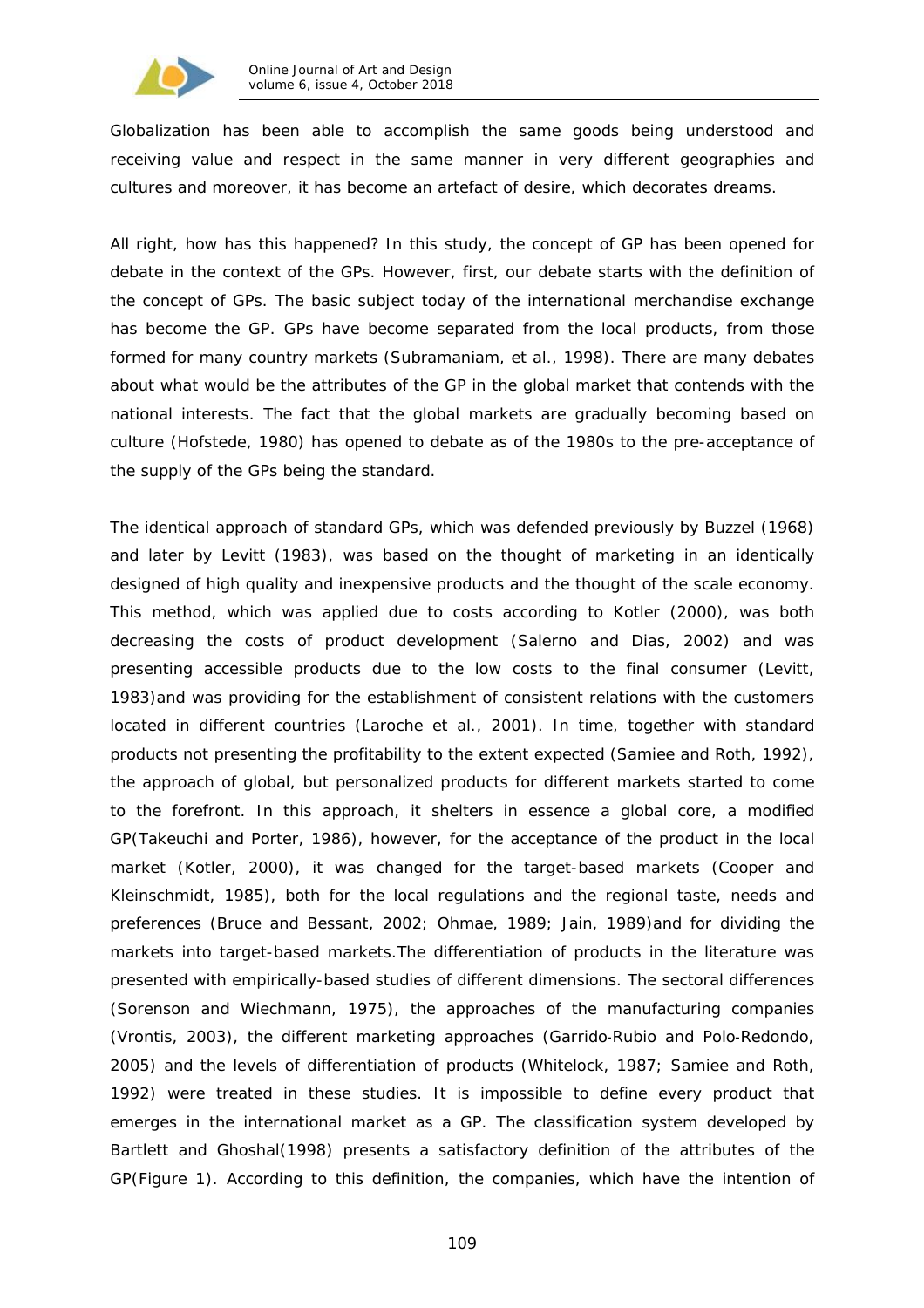

Globalization has been able to accomplish the same goods being understood and receiving value and respect in the same manner in very different geographies and cultures and moreover, it has become an artefact of desire, which decorates dreams.

All right, how has this happened? In this study, the concept of GP has been opened for debate in the context of the GPs. However, first, our debate starts with the definition of the concept of GPs. The basic subject today of the international merchandise exchange has become the *GP*. GPs have become separated from the *local products,* from those formed for many country markets (Subramaniam, et al., 1998). There are many debates about what would be the attributes of the GP in the global market that contends with the national interests. The fact that the global markets are gradually becoming based on culture (Hofstede, 1980) has opened to debate as of the 1980s to the pre-acceptance of *the supply of the GPs being the standard*.

The identical approach of standard GPs, which was defended previously by Buzzel (1968) and later by Levitt (1983), was based on the thought of marketing in an identically designed of high quality and inexpensive products and the thought of the scale economy. This method, which was applied due to costs according to Kotler (2000), was both decreasing the costs of product development (Salerno and Dias, 2002) and was presenting accessible products due to the low costs to the final consumer (Levitt, 1983)and was providing for the establishment of consistent relations with the customers located in different countries (Laroche et al., 2001). In time, together with standard products not presenting the profitability to the extent expected (Samiee and Roth, 1992), the approach of global, but personalized products for different markets started to come to the forefront. In this approach, it shelters in essence a global core, a *modified GP*(Takeuchi and Porter, 1986), however, for the acceptance of the product in the local market (Kotler, 2000), it was changed for the target-based markets (Cooper and Kleinschmidt, 1985), both for the local regulations and the regional taste, needs and preferences (Bruce and Bessant, 2002; Ohmae, 1989; Jain, 1989)and for dividing the markets into target-based markets.The differentiation of products in the literature was presented with empirically-based studies of different dimensions. The sectoral differences (Sorenson and Wiechmann, 1975), the approaches of the manufacturing companies (Vrontis, 2003), the different marketing approaches (Garrido‐Rubio and Polo‐Redondo, 2005) and the levels of differentiation of products (Whitelock, 1987; Samiee and Roth, 1992) were treated in these studies. It is impossible to define every product that emerges in the international market as a GP. The classification system developed by Bartlett and Ghoshal(1998) presents a satisfactory definition of the attributes of the GP(Figure 1). According to this definition, the companies, which have the intention of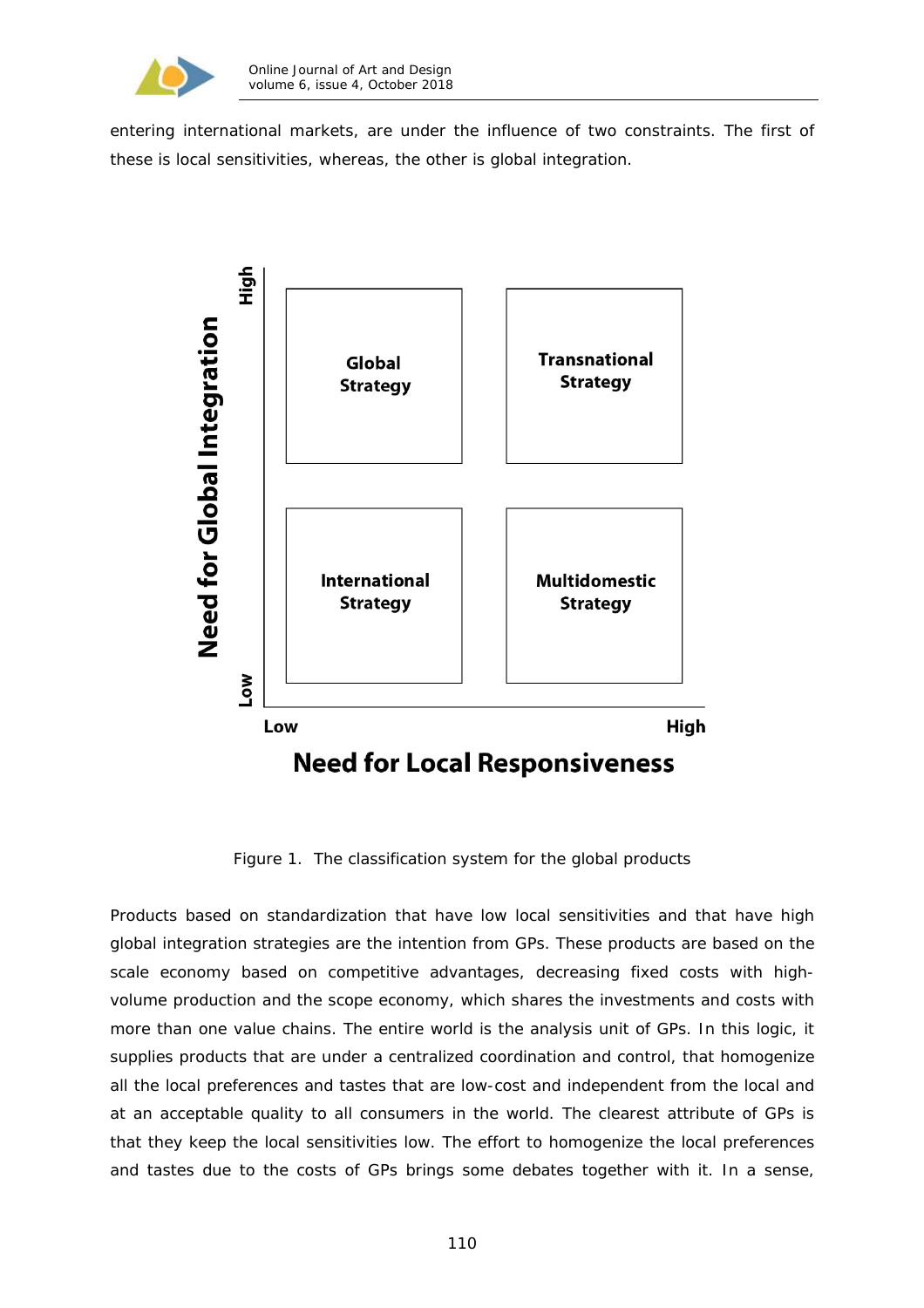

entering international markets, are under the influence of two constraints. The first of these is local sensitivities, whereas, the other is global integration.



Figure 1. The classification system for the global products

Products based on standardization that have low local sensitivities and that have high global integration strategies are the intention from GPs. These products are based on the scale economy based on competitive advantages, decreasing fixed costs with highvolume production and the scope economy, which shares the investments and costs with more than one value chains. The entire world is the analysis unit of GPs. In this logic, it supplies products that are under a centralized coordination and control, that homogenize all the local preferences and tastes that are low-cost and independent from the local and at an acceptable quality to all consumers in the world. The clearest attribute of GPs is that they keep the local sensitivities low. The effort to homogenize the local preferences and tastes due to the costs of GPs brings some debates together with it. In a sense,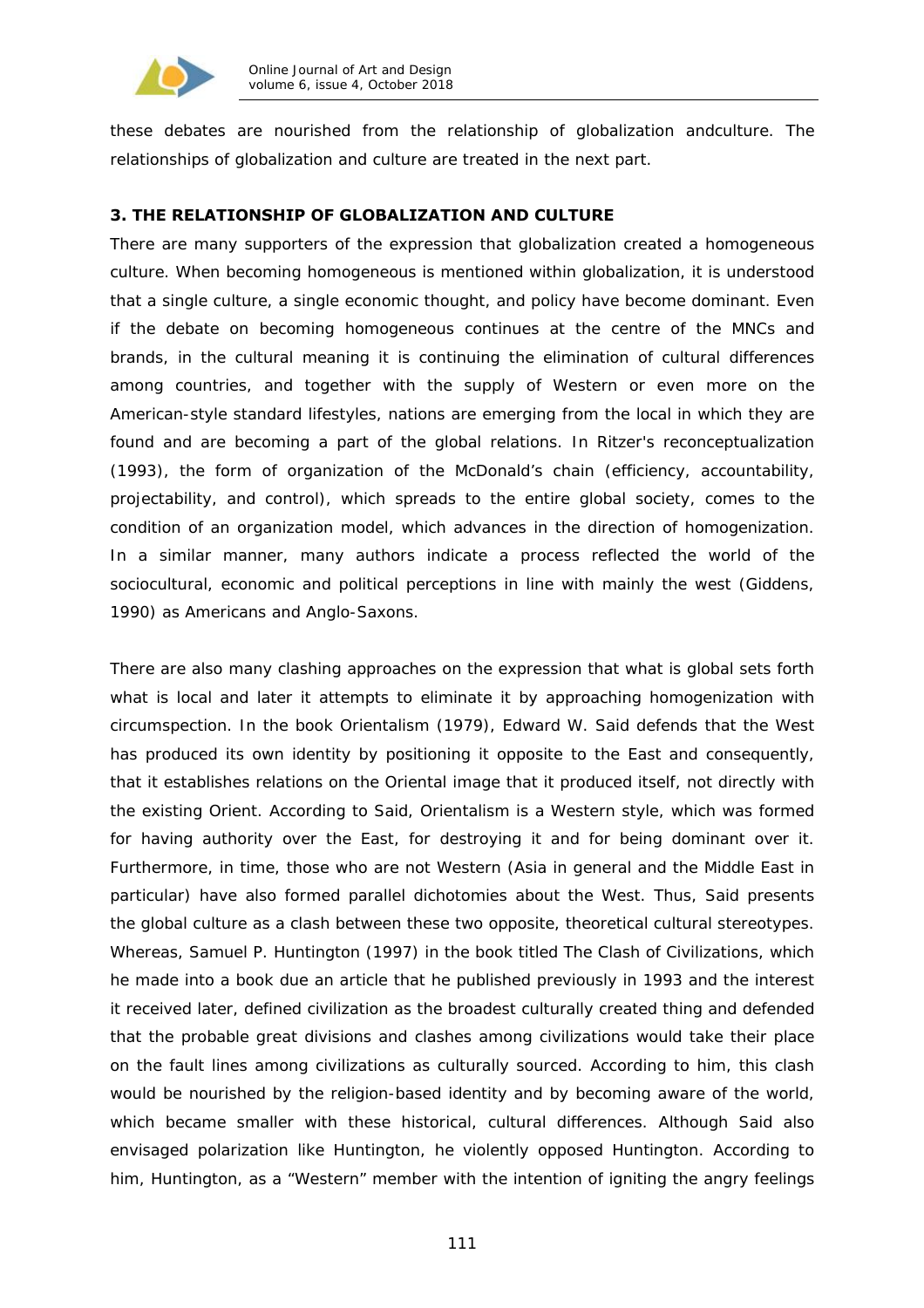

these debates are nourished from the relationship of globalization andculture. The relationships of globalization and culture are treated in the next part.

## **3. THE RELATIONSHIP OF GLOBALIZATION AND CULTURE**

There are many supporters of the expression that globalization created a homogeneous culture. When becoming homogeneous is mentioned within globalization, it is understood that a single culture, a single economic thought, and policy have become dominant. Even if the debate on becoming homogeneous continues at the centre of the MNCs and brands, in the cultural meaning it is continuing the elimination of cultural differences among countries, and together with the supply of Western or even more on the American-style standard lifestyles, nations are emerging from the local in which they are found and are becoming a part of the global relations. In Ritzer's reconceptualization (1993), the form of organization of the McDonald's chain (efficiency, accountability, projectability, and control), which spreads to the entire global society, comes to the condition of an organization model, which advances in the direction of homogenization. In a similar manner, many authors indicate a process reflected the world of the sociocultural, economic and political perceptions in line with mainly the west (Giddens, 1990) as Americans and Anglo-Saxons.

There are also many clashing approaches on the expression that what is global sets forth what is local and later it attempts to eliminate it by approaching homogenization with circumspection. In the book *Orientalism* (1979), Edward W. Said defends that the West has produced its own identity by positioning it opposite to the East and consequently, that it establishes relations on the Oriental image that it produced itself, not directly with the existing Orient. According to Said, Orientalism is a Western style, which was formed for having authority over the East, for destroying it and for being dominant over it. Furthermore, in time, those who are not Western (Asia in general and the Middle East in particular) have also formed parallel dichotomies about the West. Thus, Said presents the global culture as a clash between these two opposite, theoretical cultural stereotypes. Whereas, Samuel P. Huntington (1997) in the book titled *The Clash of Civilizations*, which he made into a book due an article that he published previously in 1993 and the interest it received later, defined civilization as the broadest culturally created thing and defended that the probable great divisions and clashes among civilizations would take their place on the fault lines among civilizations as culturally sourced. According to him, this clash would be nourished by the religion-based identity and by becoming aware of the world, which became smaller with these historical, cultural differences. Although Said also envisaged polarization like Huntington, he violently opposed Huntington. According to him, Huntington, as a "Western" member with the intention of igniting the angry feelings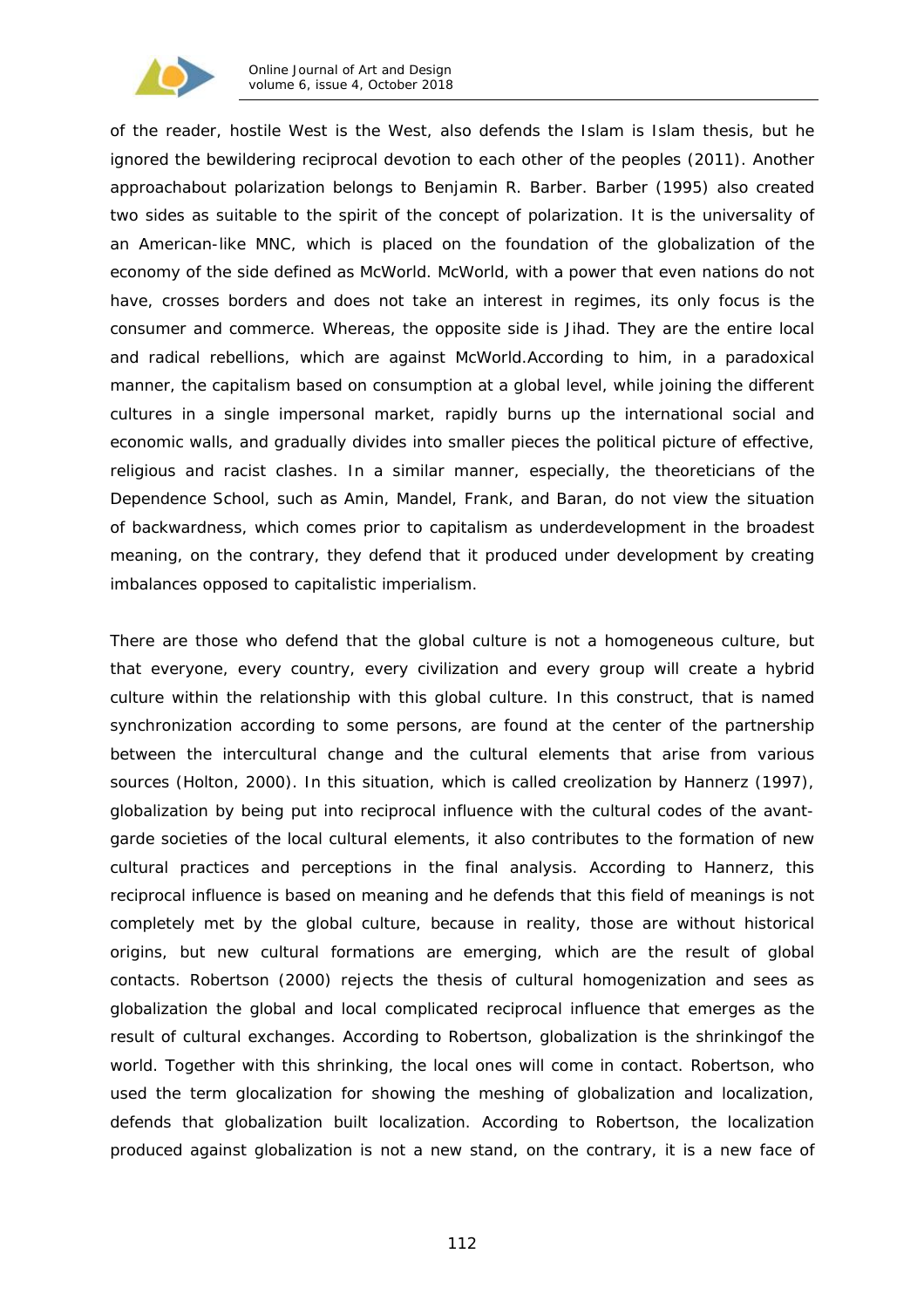

of the reader, hostile *West is the West*, also defends the *Islam is Islam* thesis, but he ignored the bewildering reciprocal devotion to each other of the peoples (2011). Another approachabout polarization belongs to Benjamin R. Barber. Barber (1995) also created two sides as suitable to the spirit of the concept of polarization. It is the universality of an American-like MNC, which is placed on the foundation of the globalization of the economy of the side defined as McWorld. McWorld, with a power that even nations do not have, crosses borders and does not take an interest in regimes, its only focus is the consumer and commerce. Whereas, the opposite side is Jihad. They are the entire local and radical rebellions, which are against McWorld.According to him, in a paradoxical manner, the capitalism based on consumption at a global level, while joining the different cultures in a single impersonal market, rapidly burns up the international social and economic walls, and gradually divides into smaller pieces the political picture of effective, religious and racist clashes. In a similar manner, especially, the theoreticians of the Dependence School, such as Amin, Mandel, Frank, and Baran, do not view the situation of backwardness, which comes prior to capitalism as underdevelopment in the broadest meaning, on the contrary, they defend that it produced under development by creating imbalances opposed to capitalistic imperialism.

There are those who defend that the global culture is not a homogeneous culture, but that everyone, every country, every civilization and every group will create a hybrid culture within the relationship with this global culture. In this construct, that is named *synchronization* according to some persons, are found at the center of the partnership between the intercultural change and the cultural elements that arise from various sources (Holton, 2000). In this situation, which is called *creolization* by Hannerz (1997), globalization by being put into reciprocal influence with the cultural codes of the avantgarde societies of the local cultural elements, it also contributes to the formation of new cultural practices and perceptions in the final analysis. According to Hannerz, this reciprocal influence is based on meaning and he defends that this field of meanings is not completely met by the global culture, because in reality, those are without historical origins, but new cultural formations are emerging, which are the result of global contacts. Robertson (2000) rejects the thesis of cultural homogenization and sees as globalization the global and local complicated reciprocal influence that emerges as the result of cultural exchanges. According to Robertson, globalization is the shrinkingof the world. Together with this shrinking, the local ones will come in contact. Robertson, who used the term *glocalization* for showing the meshing of globalization and localization, defends that globalization built localization. According to Robertson, the localization produced against globalization is not a new stand, on the contrary, it is a new face of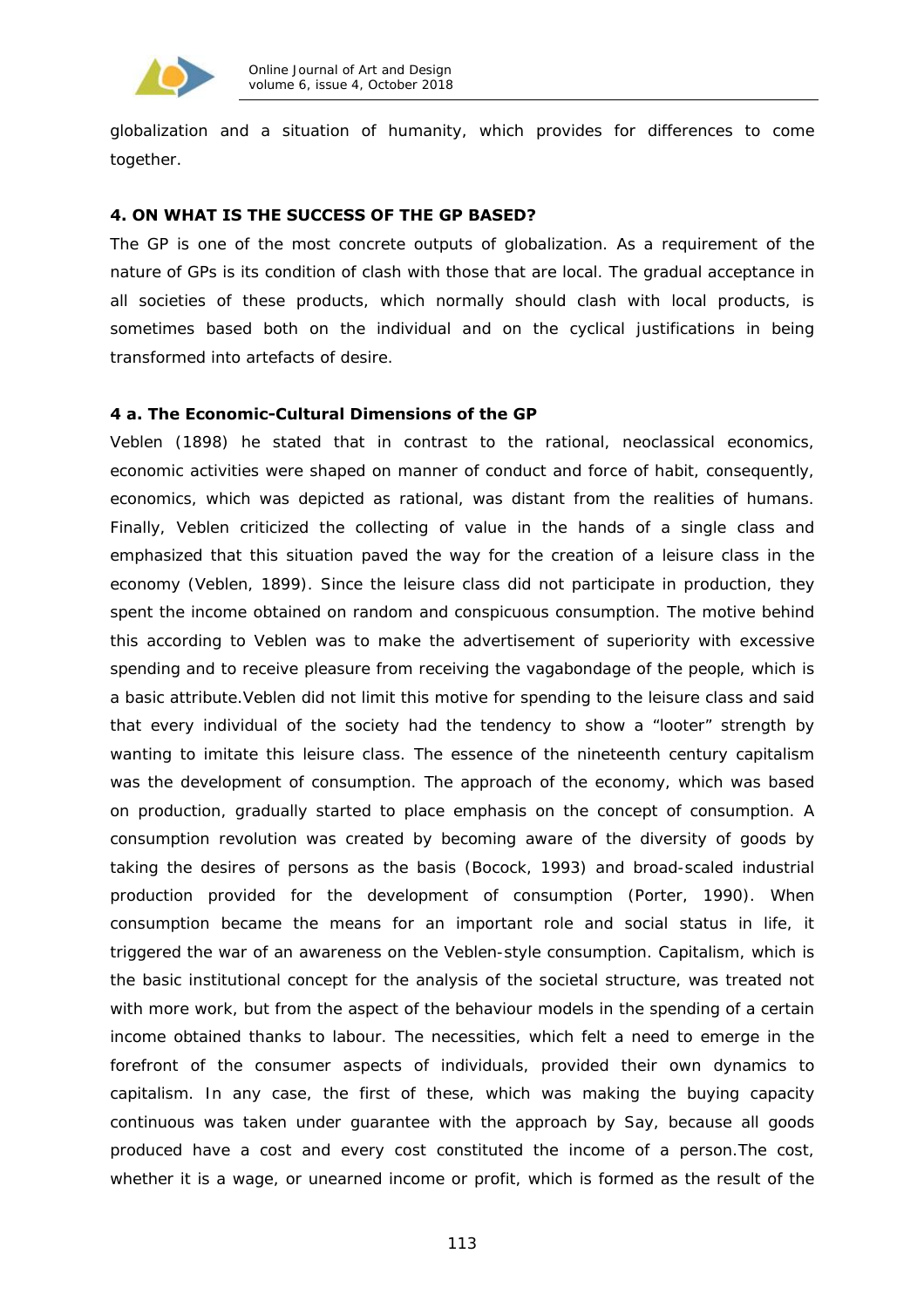

globalization and a situation of humanity, which provides for differences to come together.

## **4. ON WHAT IS THE SUCCESS OF THE GP BASED?**

The GP is one of the most concrete outputs of globalization. As a requirement of the nature of GPs is its condition of clash with those that are local. The gradual acceptance in all societies of these products, which normally should clash with local products, is sometimes based both on the individual and on the cyclical justifications in being transformed into artefacts of desire.

#### **4 a. The Economic-Cultural Dimensions of the GP**

Veblen (1898) he stated that in contrast to the rational, neoclassical economics, economic activities were shaped on manner of conduct and force of habit, consequently, economics, which was depicted as rational, was distant from the realities of humans. Finally, Veblen criticized the collecting of value in the hands of a single class and emphasized that this situation paved the way for the creation of a leisure class in the economy (Veblen, 1899). Since the leisure class did not participate in production, they spent the income obtained on random and conspicuous consumption. The motive behind this according to Veblen was to make the advertisement of superiority with excessive spending and to receive pleasure from receiving the vagabondage of the people, which is a basic attribute.Veblen did not limit this motive for spending to the leisure class and said that every individual of the society had the tendency to show a "looter" strength by wanting to imitate this leisure class. The essence of the nineteenth century capitalism was the development of consumption. The approach of the economy, which was based on production, gradually started to place emphasis on the concept of consumption. A consumption revolution was created by becoming aware of the diversity of goods by taking the desires of persons as the basis (Bocock, 1993) and broad-scaled industrial production provided for the development of consumption (Porter, 1990). When consumption became the means for an important role and social status in life, it triggered the war of an awareness on the Veblen-style consumption. Capitalism, which is the basic institutional concept for the analysis of the societal structure, was treated not with more work, but from the aspect of the behaviour models in the spending of a certain income obtained thanks to labour. The necessities, which felt a need to emerge in the forefront of the consumer aspects of individuals, provided their own dynamics to capitalism. In any case, the first of these, which was making the buying capacity continuous was taken under guarantee with the approach by Say, because all goods produced have a cost and every cost constituted the income of a person.The cost, whether it is a wage, or unearned income or profit, which is formed as the result of the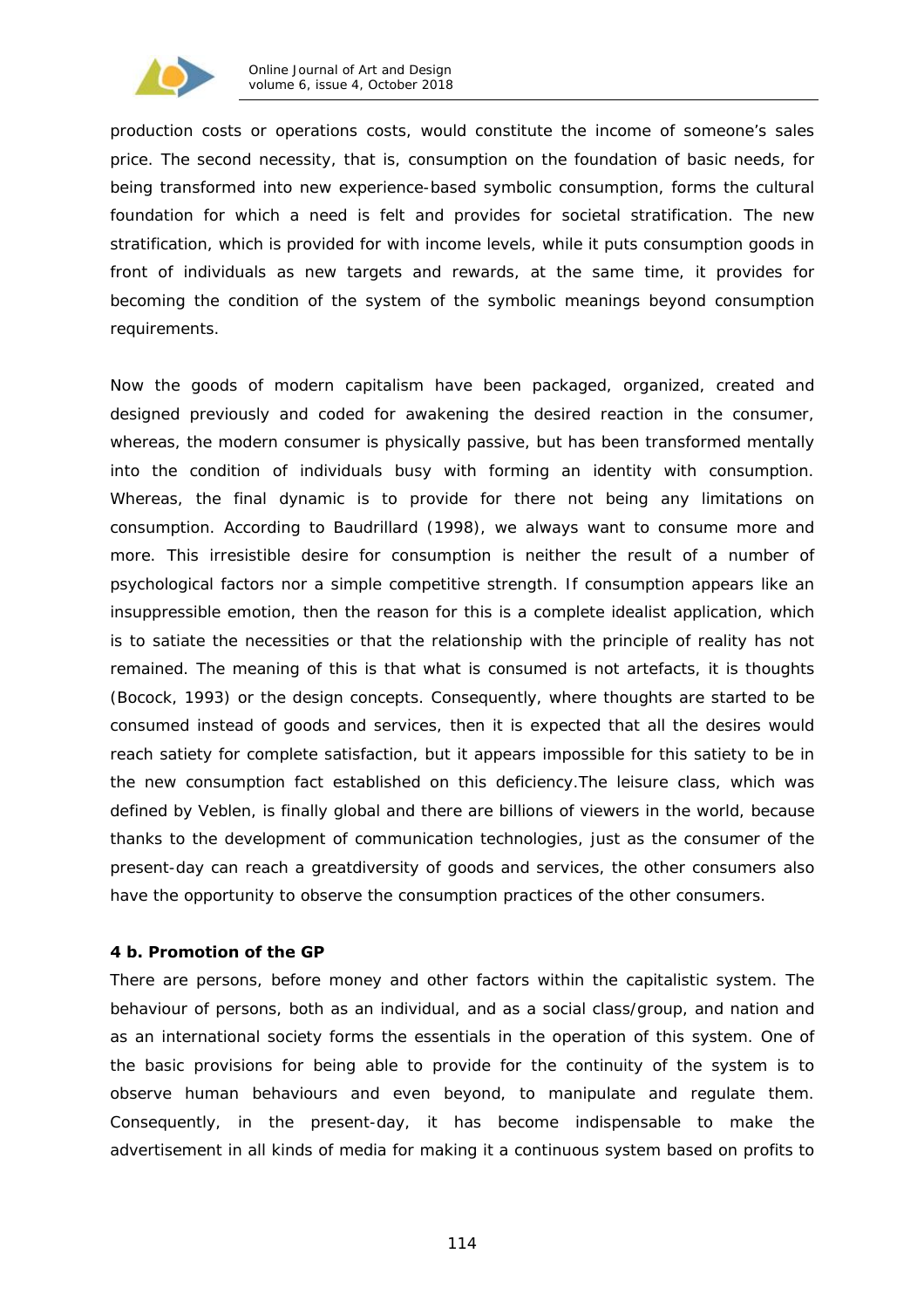

production costs or operations costs, would constitute the income of someone's sales price. The second necessity, that is, consumption on the foundation of basic needs, for being transformed into new experience-based symbolic consumption, forms the cultural foundation for which a need is felt and provides for societal stratification. The new stratification, which is provided for with income levels, while it puts consumption goods in front of individuals as new targets and rewards, at the same time, it provides for becoming the condition of the system of the symbolic meanings beyond consumption requirements.

Now the goods of modern capitalism have been packaged, organized, created and designed previously and coded for awakening the desired reaction in the consumer, whereas, the modern consumer is physically passive, but has been transformed mentally into the condition of individuals busy with forming an identity with consumption. Whereas, the final dynamic is to provide for there not being any limitations on consumption. According to Baudrillard (1998), we always want to consume more and more. This irresistible desire for consumption is neither the result of a number of psychological factors nor a simple competitive strength. If consumption appears like an insuppressible emotion, then the reason for this is a complete idealist application, which is to satiate the necessities or that the relationship with the principle of reality has not remained. The meaning of this is that what is consumed is not artefacts, it is thoughts (Bocock, 1993) or the design concepts. Consequently, where thoughts are started to be consumed instead of goods and services, then it is expected that all the desires would reach satiety for complete satisfaction, but it appears impossible for this satiety to be in the new consumption fact established on this deficiency.The leisure class, which was defined by Veblen, is finally global and there are billions of viewers in the world, because thanks to the development of communication technologies, just as the consumer of the present-day can reach a greatdiversity of goods and services, the other consumers also have the opportunity to observe the consumption practices of the other consumers.

### **4 b. Promotion of the GP**

There are persons, before money and other factors within the capitalistic system. The behaviour of persons, both as an individual, and as a social class/group, and nation and as an international society forms the essentials in the operation of this system. One of the basic provisions for being able to provide for the continuity of the system is to observe human behaviours and even beyond, to manipulate and regulate them. Consequently, in the present-day, it has become indispensable to make the advertisement in all kinds of media for making it a continuous system based on profits to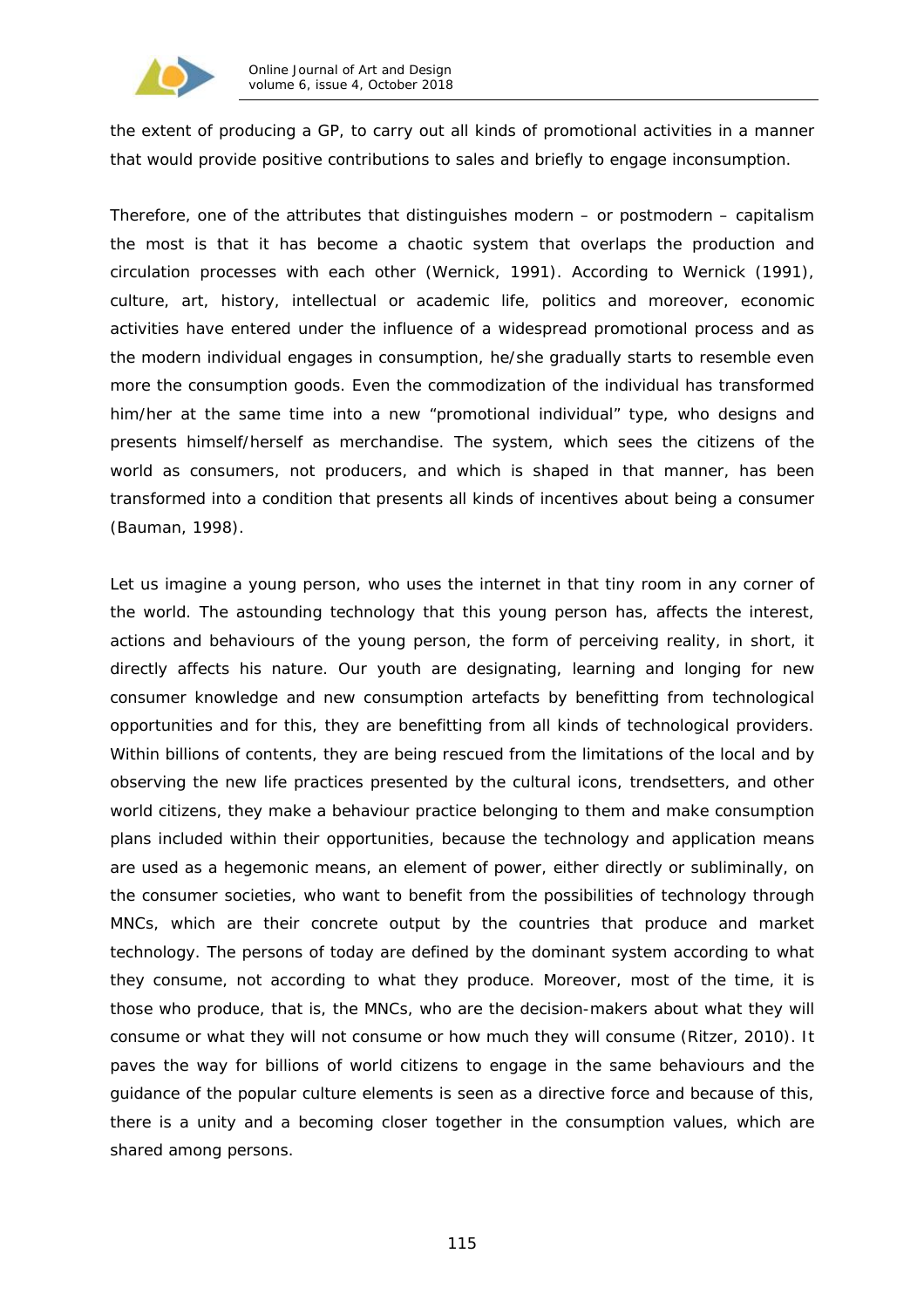

the extent of producing a GP, to carry out all kinds of promotional activities in a manner that would provide positive contributions to sales and briefly to engage inconsumption.

Therefore, one of the attributes that distinguishes modern – or postmodern – capitalism the most is that it has become a chaotic system that overlaps the production and circulation processes with each other (Wernick, 1991). According to Wernick (1991), culture, art, history, intellectual or academic life, politics and moreover, economic activities have entered under the influence of a widespread promotional process and as the modern individual engages in consumption, he/she gradually starts to resemble even more the consumption goods. Even the commodization of the individual has transformed him/her at the same time into a new "promotional individual" type, who designs and presents himself/herself as merchandise. The system, which sees the citizens of the world as consumers, not producers, and which is shaped in that manner, has been transformed into a condition that presents all kinds of incentives about being a consumer (Bauman, 1998).

Let us imagine a young person, who uses the internet in that tiny room in any corner of the world. The astounding technology that this young person has, affects the interest, actions and behaviours of the young person, the form of perceiving reality, in short, it directly affects his nature. Our youth are designating, learning and longing for new consumer knowledge and new consumption artefacts by benefitting from technological opportunities and for this, they are benefitting from all kinds of technological providers. Within billions of contents, they are being rescued from the limitations of the local and by observing the new life practices presented by the cultural icons, trendsetters, and other world citizens, they make a behaviour practice belonging to them and make consumption plans included within their opportunities, because the technology and application means are used as a hegemonic means, an element of power, either directly or subliminally, on the consumer societies, who want to benefit from the possibilities of technology through MNCs, which are their concrete output by the countries that produce and market technology. The persons of today are defined by the dominant system according to what they consume, not according to what they produce. Moreover, most of the time, it is those who produce, that is, the MNCs, who are the decision-makers about what they will consume or what they will not consume or how much they will consume (Ritzer, 2010). It paves the way for billions of world citizens to engage in the same behaviours and the guidance of the popular culture elements is seen as a directive force and because of this, there is a unity and a becoming closer together in the consumption values, which are shared among persons.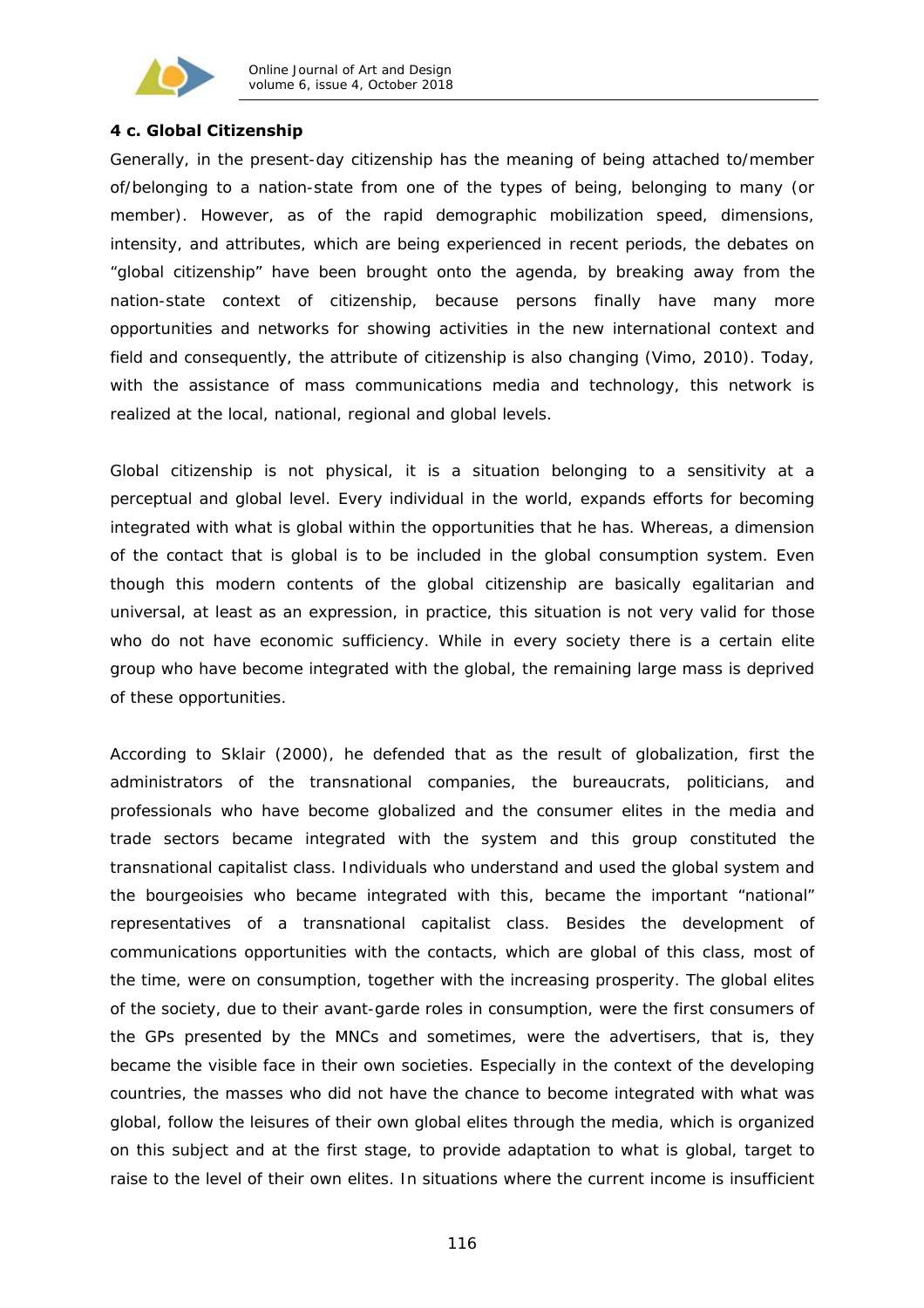

## **4 c. Global Citizenship**

Generally, in the present-day citizenship has the meaning of being attached to/member of/belonging to a nation-state from one of the types of being, belonging to many (or member). However, as of the rapid demographic mobilization speed, dimensions, intensity, and attributes, which are being experienced in recent periods, the debates on "*global citizenship*" have been brought onto the agenda, by breaking away from the nation-state context of citizenship, because persons finally have many more opportunities and networks for showing activities in the new international context and field and consequently, the attribute of citizenship is also changing (Vimo, 2010). Today, with the assistance of mass communications media and technology, this network is realized at the local, national, regional and global levels.

Global citizenship is not physical, it is a situation belonging to a sensitivity at a perceptual and global level. Every individual in the world, expands efforts for becoming integrated with what is global within the opportunities that he has. Whereas, a dimension of the contact that is global is to be included in the global consumption system. Even though this modern contents of the global citizenship are basically egalitarian and universal, at least as an expression, in practice, this situation is not very valid for those who do not have economic sufficiency. While in every society there is a certain elite group who have become integrated with the global, the remaining large mass is deprived of these opportunities.

According to Sklair (2000), he defended that as the result of globalization, first the administrators of the transnational companies, the bureaucrats, politicians, and professionals who have become globalized and the consumer elites in the media and trade sectors became integrated with the system and this group constituted the transnational capitalist class. Individuals who understand and used the global system and the bourgeoisies who became integrated with this, became the important "national" representatives of a transnational capitalist class. Besides the development of communications opportunities with the contacts, which are global of this class, most of the time, were on consumption, together with the increasing prosperity. The global elites of the society, due to their avant-garde roles in consumption, were the first consumers of the GPs presented by the MNCs and sometimes, were the advertisers, that is, they became the visible face in their own societies. Especially in the context of the developing countries, the masses who did not have the chance to become integrated with what was global, follow the leisures of their own global elites through the media, which is organized on this subject and at the first stage, to provide adaptation to what is global, target to raise to the level of their own elites. In situations where the current income is insufficient

116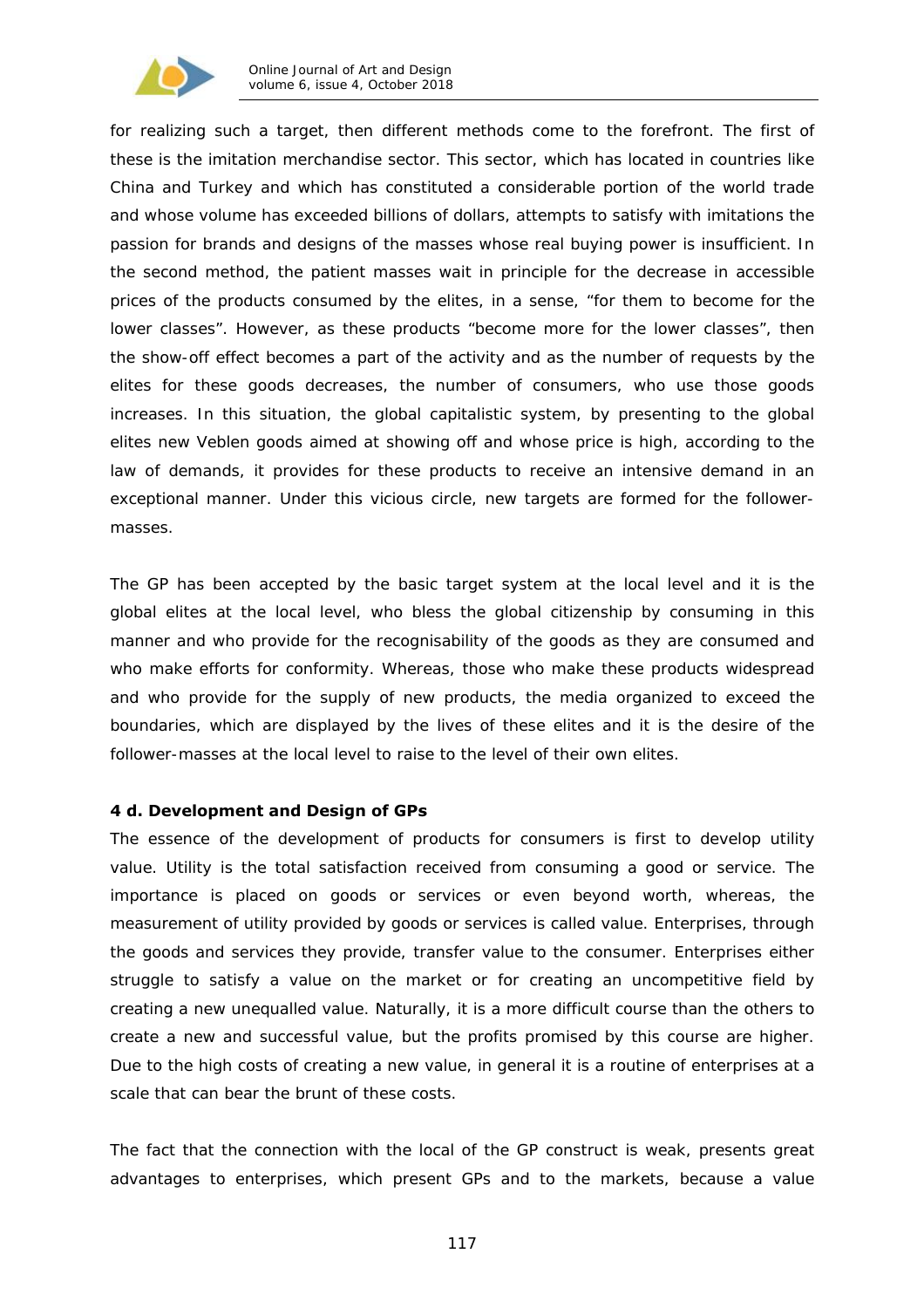

for realizing such a target, then different methods come to the forefront. The first of these is the imitation merchandise sector. This sector, which has located in countries like China and Turkey and which has constituted a considerable portion of the world trade and whose volume has exceeded billions of dollars, attempts to satisfy with imitations the passion for brands and designs of the masses whose real buying power is insufficient. In the second method, the patient masses wait in principle for the decrease in accessible prices of the products consumed by the elites, in a sense, "for them to become for the lower classes". However, as these products "become more for the lower classes", then the *show-off effect* becomes a part of the activity and as the number of requests by the elites for these goods decreases, the number of consumers, who use those goods increases. In this situation, the global capitalistic system, by presenting to the global elites new Veblen goods aimed at showing off and whose price is high, according to the law of demands, it provides for these products to receive an intensive demand in an exceptional manner. Under this vicious circle, new targets are formed for the followermasses.

The GP has been accepted by the basic target system at the local level and it is the global elites at the local level, who bless the global citizenship by consuming in this manner and who provide for the recognisability of the goods as they are consumed and who make efforts for conformity. Whereas, those who make these products widespread and who provide for the supply of new products, the media organized to exceed the boundaries, which are displayed by the lives of these elites and it is the desire of the follower-masses at the local level to raise to the level of their own elites.

### **4 d. Development and Design of GPs**

The essence of the development of products for consumers is first to develop utility value. Utility is the total satisfaction received from consuming a good or service. The importance is placed on goods or services or even beyond worth, whereas, the measurement of utility provided by goods or services is called value. Enterprises, through the goods and services they provide, transfer value to the consumer. Enterprises either struggle to satisfy a value on the market or for creating an uncompetitive field by creating a new unequalled value. Naturally, it is a more difficult course than the others to create a new and successful value, but the profits promised by this course are higher. Due to the high costs of creating a new value, in general it is a routine of enterprises at a scale that can bear the brunt of these costs.

The fact that the connection with the local of the GP construct is weak, presents great advantages to enterprises, which present GPs and to the markets, because a value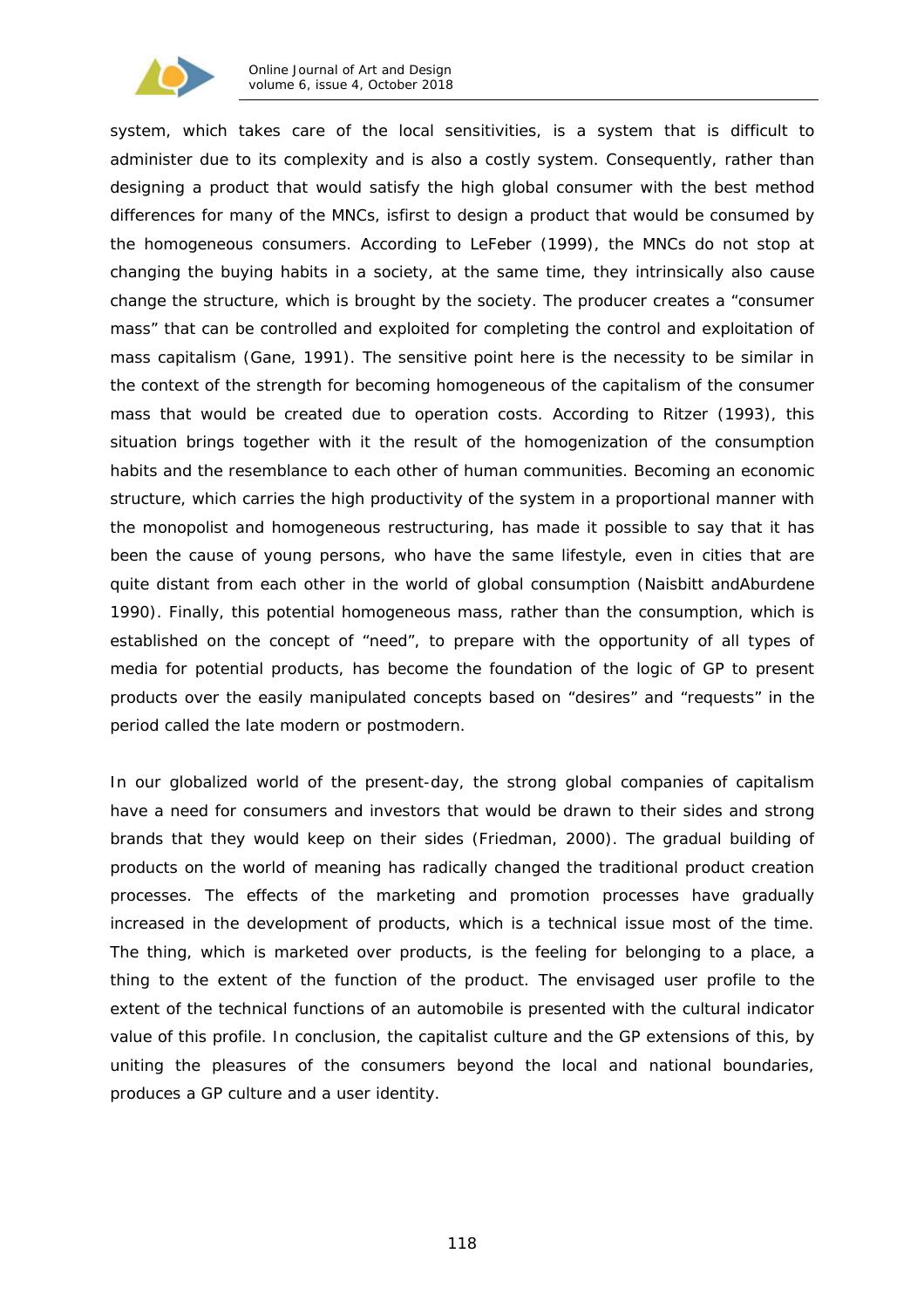

system, which takes care of the local sensitivities, is a system that is difficult to administer due to its complexity and is also a costly system. Consequently, rather than designing a product that would satisfy the high global consumer with the best method differences for many of the MNCs, isfirst to design a product that would be consumed by the homogeneous consumers. According to LeFeber (1999), the MNCs do not stop at changing the buying habits in a society, at the same time, they intrinsically also cause change the structure, which is brought by the society. The producer creates a "consumer mass" that can be controlled and exploited for completing the control and exploitation of mass capitalism (Gane, 1991). The sensitive point here is the necessity to be similar in the context of the strength for becoming homogeneous of the capitalism of the consumer mass that would be created due to operation costs. According to Ritzer (1993), this situation brings together with it the result of the homogenization of the consumption habits and the resemblance to each other of human communities. Becoming an economic structure, which carries the high productivity of the system in a proportional manner with the monopolist and homogeneous restructuring, has made it possible to say that it has been the cause of young persons, who have the same lifestyle, even in cities that are quite distant from each other in the world of global consumption (Naisbitt andAburdene 1990). Finally, this potential homogeneous mass, rather than the consumption, which is established on the concept of "need", to prepare with the opportunity of all types of media for potential products, has become the foundation of the logic of GP to present products over the easily manipulated concepts based on "desires" and "requests" in the period called the late modern or postmodern.

In our globalized world of the present-day, the strong global companies of capitalism have a need for consumers and investors that would be drawn to their sides and strong brands that they would keep on their sides (Friedman, 2000). The gradual building of products on the world of meaning has radically changed the traditional product creation processes. The effects of the marketing and promotion processes have gradually increased in the development of products, which is a technical issue most of the time. The thing, which is marketed over products, is the feeling for belonging to a place, a thing to the extent of the function of the product. The envisaged user profile to the extent of the technical functions of an automobile is presented with the cultural indicator value of this profile. In conclusion, the capitalist culture and the GP extensions of this, by uniting the pleasures of the consumers beyond the local and national boundaries, produces a GP culture and a user identity.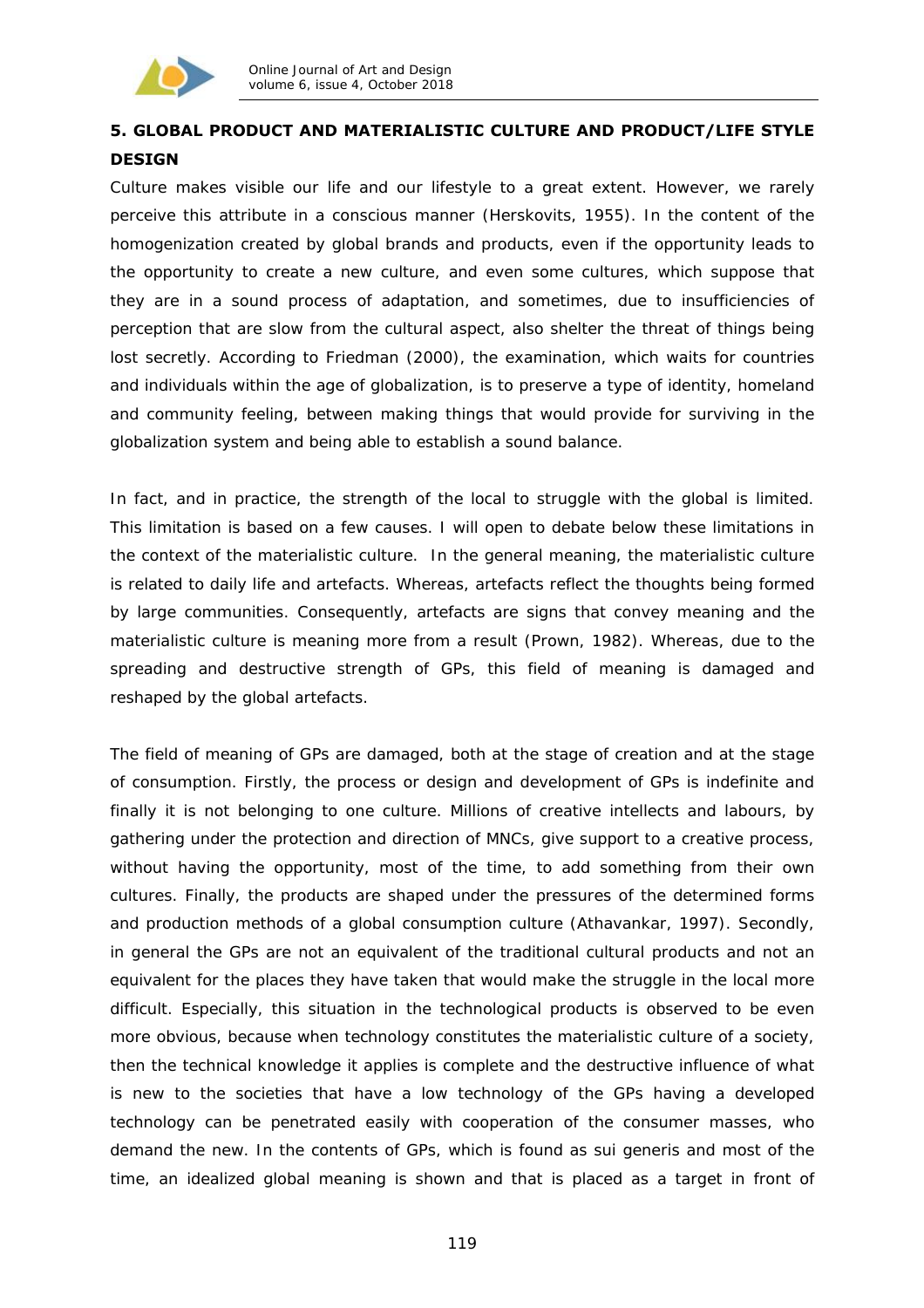

# **5. GLOBAL PRODUCT AND MATERIALISTIC CULTURE AND PRODUCT/LIFE STYLE DESIGN**

Culture makes visible our life and our lifestyle to a great extent. However, we rarely perceive this attribute in a conscious manner (Herskovits, 1955). In the content of the homogenization created by global brands and products, even if the opportunity leads to the opportunity to create a new culture, and even some cultures, which suppose that they are in a sound process of adaptation, and sometimes, due to insufficiencies of perception that are slow from the cultural aspect, also shelter the threat of things being lost secretly. According to Friedman (2000), the examination, which waits for countries and individuals within the age of globalization, is to preserve a type of identity, homeland and community feeling, between making things that would provide for surviving in the globalization system and being able to establish a sound balance.

In fact, and in practice, the strength of the local to struggle with the global is limited. This limitation is based on a few causes. I will open to debate below these limitations in the context of the materialistic culture. In the general meaning, the materialistic culture is related to daily life and artefacts. Whereas, artefacts reflect the thoughts being formed by large communities. Consequently, artefacts are signs that convey meaning and the materialistic culture is meaning more from a result (Prown, 1982). Whereas, due to the spreading and destructive strength of GPs, this field of meaning is damaged and reshaped by the global artefacts.

The field of meaning of GPs are damaged, both at the stage of creation and at the stage of consumption. Firstly, the process or design and development of GPs is indefinite and finally it is not belonging to one culture. Millions of creative intellects and labours, by gathering under the protection and direction of MNCs, give support to a creative process, without having the opportunity, most of the time, to add something from their own cultures. Finally, the products are shaped under the pressures of the determined forms and production methods of a global consumption culture (Athavankar, 1997). Secondly, in general the GPs are not an equivalent of the traditional cultural products and not an equivalent for the places they have taken that would make the struggle in the local more difficult. Especially, this situation in the technological products is observed to be even more obvious, because when technology constitutes the materialistic culture of a society, then the technical knowledge it applies is complete and the destructive influence of what is new to the societies that have a low technology of the GPs having a developed technology can be penetrated easily with cooperation of the consumer masses, who demand the new. In the contents of GPs, which is found as *sui generis* and most of the time, an idealized global meaning is shown and that is placed as a target in front of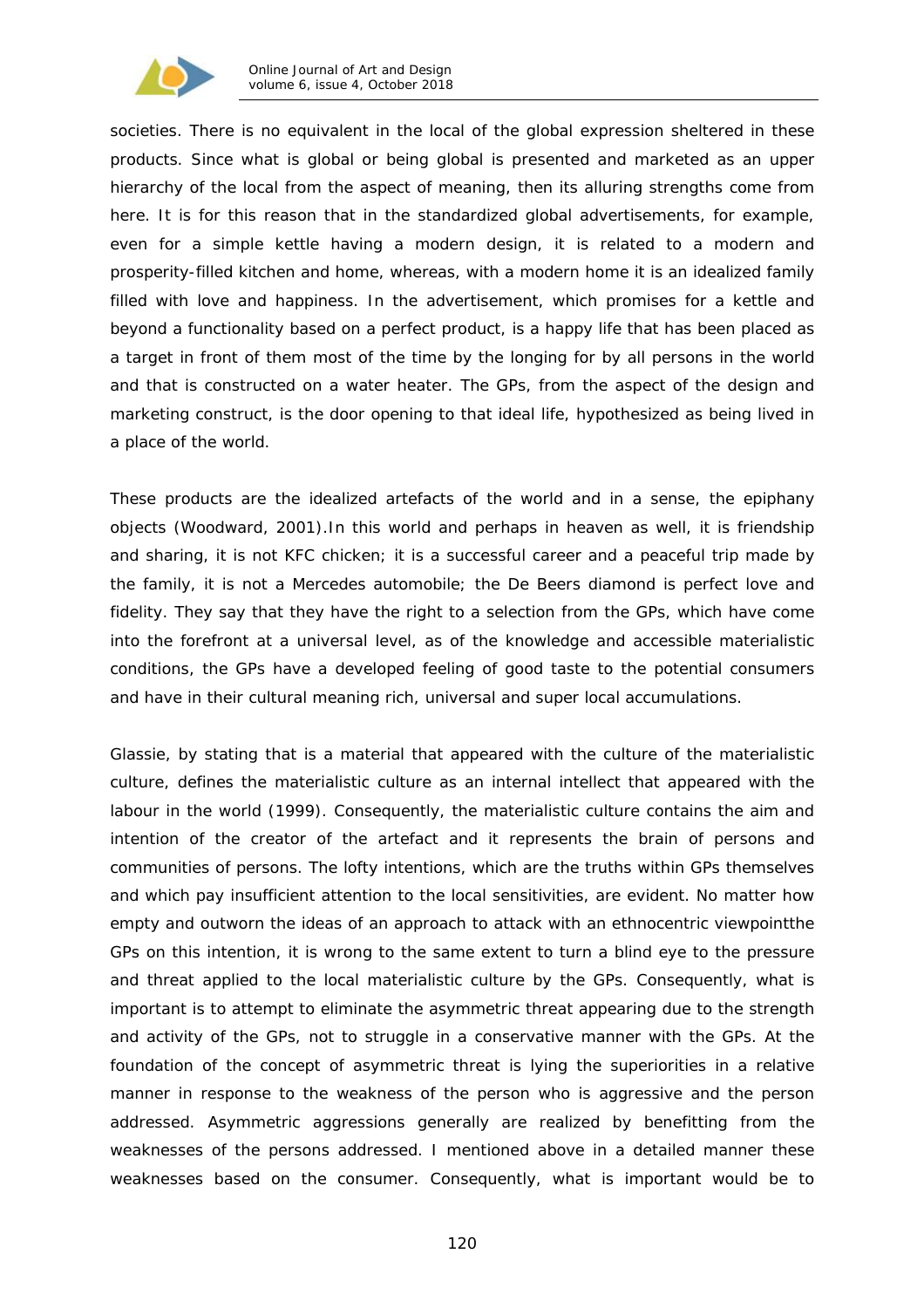

societies. There is no equivalent in the local of the global expression sheltered in these products. Since what is global or being global is presented and marketed as an upper hierarchy of the local from the aspect of meaning, then its alluring strengths come from here. It is for this reason that in the standardized global advertisements, for example, even for a simple kettle having a modern design, it is related to a modern and prosperity-filled kitchen and home, whereas, with a modern home it is an idealized family filled with love and happiness. In the advertisement, which promises for a kettle and beyond a functionality based on a perfect product, is a happy life that has been placed as a target in front of them most of the time by the longing for by all persons in the world and that is constructed on a water heater. The GPs, from the aspect of the design and marketing construct, is the door opening to that ideal life, hypothesized as being lived in a place of the world.

These products are the idealized artefacts of the world and in a sense, the *epiphany*  objects (Woodward, 2001).In this world and perhaps in heaven as well, it is friendship and sharing, it is not KFC chicken; it is a successful career and a peaceful trip made by the family, it is not a Mercedes automobile; the De Beers diamond is perfect love and fidelity. They say that they have the right to a selection from the GPs, which have come into the forefront at a universal level, as of the knowledge and accessible materialistic conditions, the GPs have a developed feeling of good taste to the potential consumers and have in their cultural meaning rich, universal and super local accumulations.

Glassie, by stating that is a material that appeared with the culture of the materialistic culture, defines the materialistic culture as an internal intellect that appeared with the labour in the world (1999). Consequently, the materialistic culture contains the aim and intention of the creator of the artefact and it represents the brain of persons and communities of persons. The lofty intentions, which are the truths within GPs themselves and which pay insufficient attention to the local sensitivities, are evident. No matter how empty and outworn the ideas of an approach to attack with an *ethnocentric* viewpointthe GPs on this intention, it is wrong to the same extent to turn a blind eye to the pressure and threat applied to the local materialistic culture by the GPs. Consequently, what is important is to attempt to eliminate the asymmetric threat appearing due to the strength and activity of the GPs, not to struggle in a conservative manner with the GPs. At the foundation of the concept of asymmetric threat is lying the superiorities in a relative manner in response to the weakness of the person who is aggressive and the person addressed. Asymmetric aggressions generally are realized by benefitting from the weaknesses of the persons addressed. I mentioned above in a detailed manner these weaknesses based on the consumer. Consequently, what is important would be to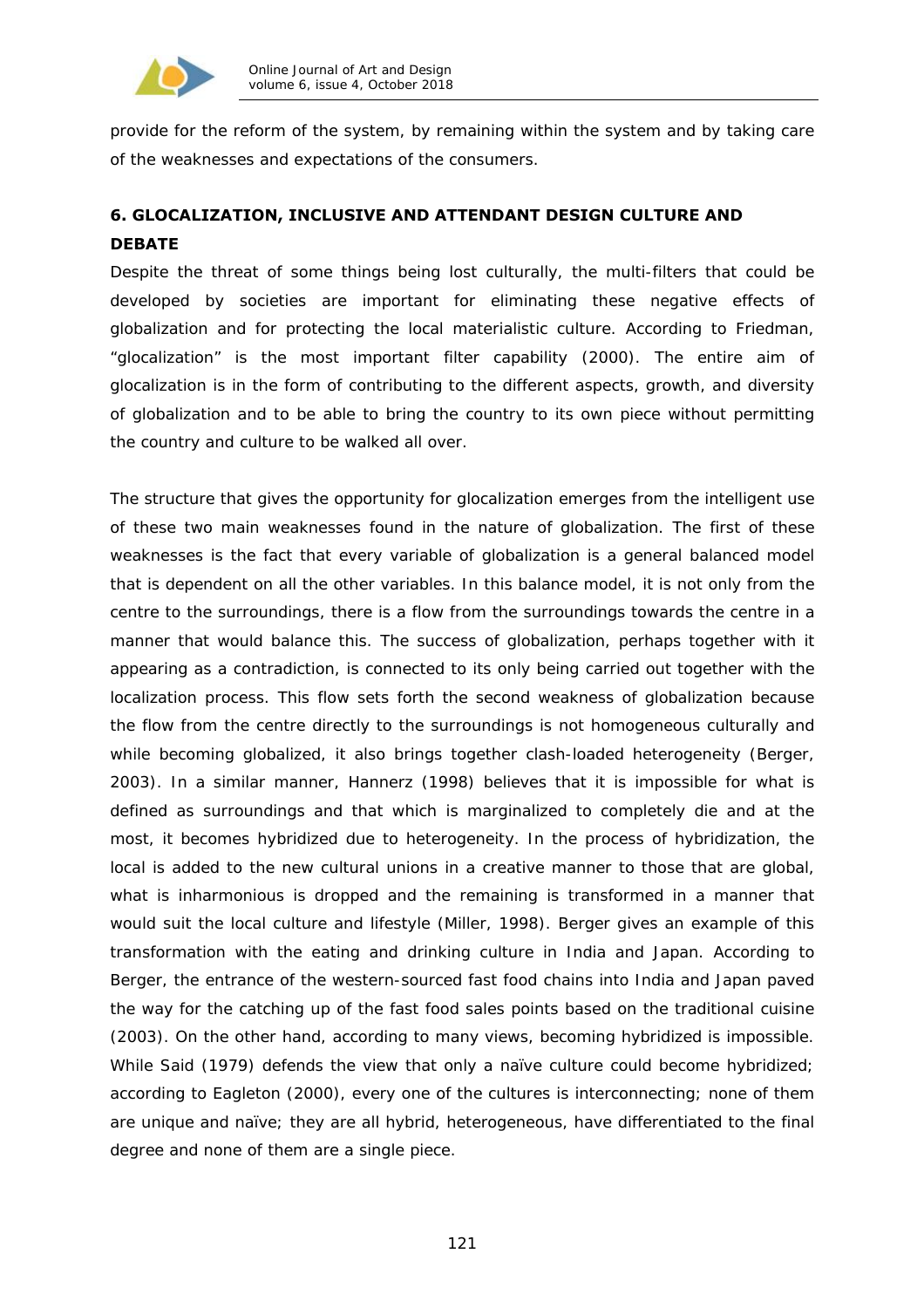

provide for the reform of the system, by remaining within the system and by taking care of the weaknesses and expectations of the consumers.

# **6. GLOCALIZATION, INCLUSIVE AND ATTENDANT DESIGN CULTURE AND DEBATE**

Despite the threat of some things being lost culturally, the multi-filters that could be developed by societies are important for eliminating these negative effects of globalization and for protecting the local materialistic culture. According to Friedman, "glocalization" is the most important filter capability (2000). The entire aim of glocalization is in the form of contributing to the different aspects, growth, and diversity of globalization and to be able to bring the country to its own piece without permitting the country and culture to be walked all over.

The structure that gives the opportunity for glocalization emerges from the intelligent use of these two main weaknesses found in the nature of globalization. The first of these weaknesses is the fact that every variable of globalization is a general balanced model that is dependent on all the other variables. In this balance model, it is not only from the centre to the surroundings, there is a flow from the surroundings towards the centre in a manner that would balance this. The success of globalization, perhaps together with it appearing as a contradiction, is connected to its only being carried out together with the localization process. This flow sets forth the second weakness of globalization because the flow from the centre directly to the surroundings is not homogeneous culturally and while becoming globalized, it also brings together clash-loaded heterogeneity (Berger, 2003). In a similar manner, Hannerz (1998) believes that it is impossible for what is defined as surroundings and that which is marginalized to completely die and at the most, it becomes hybridized due to heterogeneity. In the process of hybridization, the local is added to the new cultural unions in a creative manner to those that are global, what is inharmonious is dropped and the remaining is transformed in a manner that would suit the local culture and lifestyle (Miller, 1998). Berger gives an example of this transformation with the eating and drinking culture in India and Japan. According to Berger, the entrance of the western-sourced fast food chains into India and Japan paved the way for the catching up of the fast food sales points based on the traditional cuisine (2003). On the other hand, according to many views, becoming hybridized is impossible. While Said (1979) defends the view that only a naïve culture could become hybridized; according to Eagleton (2000), every one of the cultures is interconnecting; none of them are unique and naïve; they are all hybrid, heterogeneous, have differentiated to the final degree and none of them are a single piece.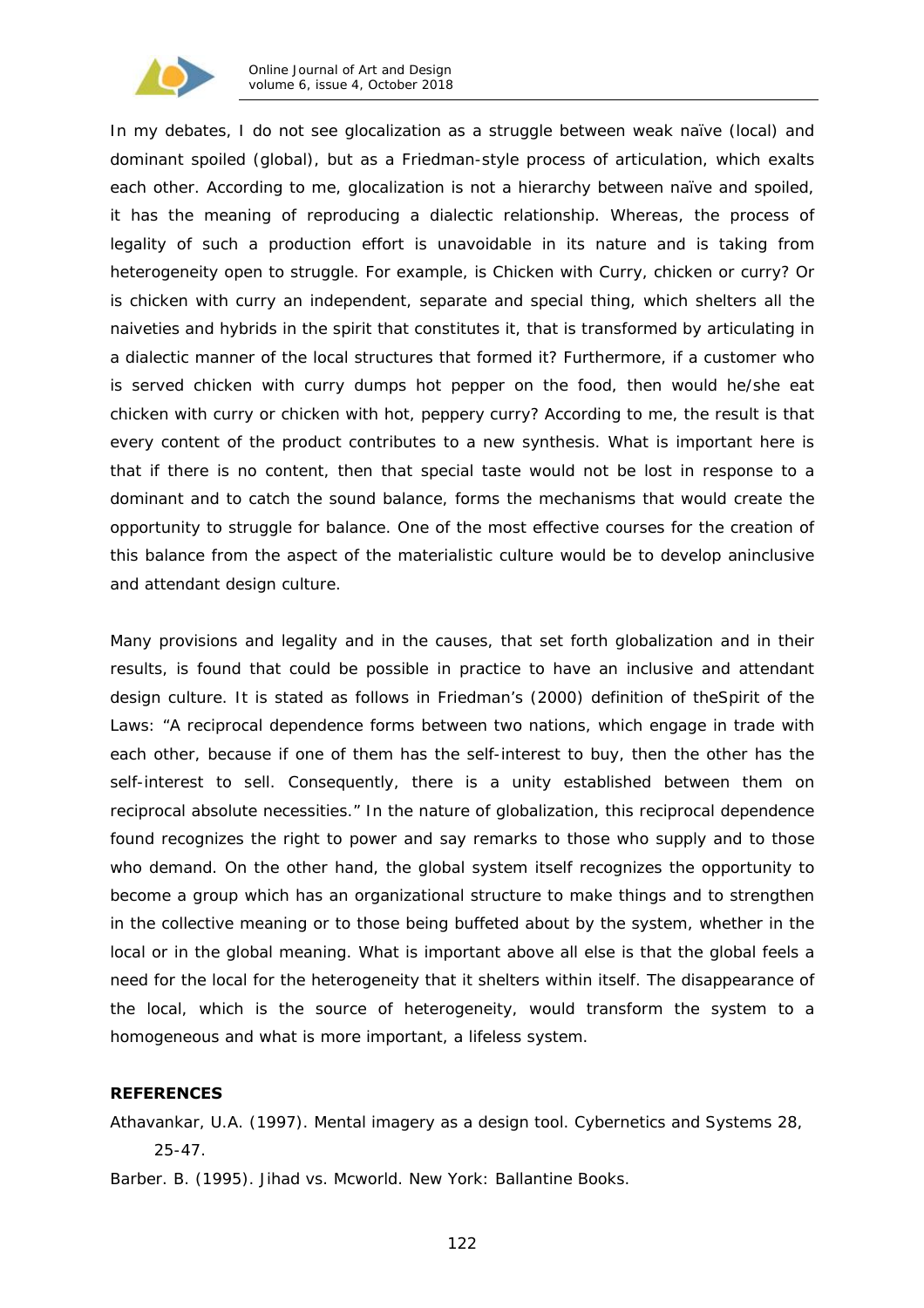

In my debates, I do not see glocalization as a struggle between weak naïve (local) and dominant spoiled (global), but as a Friedman-style process of articulation, which exalts each other. According to me, glocalization is not a hierarchy between naïve and spoiled, it has the meaning of reproducing a dialectic relationship. Whereas, the process of legality of such a production effort is unavoidable in its nature and is taking from heterogeneity open to struggle. For example, is *Chicken with Curry*, chicken or curry? Or is chicken with curry an independent, separate and special thing, which shelters all the naiveties and hybrids in the spirit that constitutes it, that is transformed by articulating in a dialectic manner of the local structures that formed it? Furthermore, if a customer who is served chicken with curry dumps hot pepper on the food, then would he/she eat chicken with curry or chicken with hot, peppery curry? According to me, the result is that every content of the product contributes to a new synthesis. What is important here is that if there is no content, then that special taste would not be lost in response to a dominant and to catch the sound balance, forms the mechanisms that would create the opportunity to struggle for balance. One of the most effective courses for the creation of this balance from the aspect of the materialistic culture would be to develop an*inclusive and attendant* design culture.

Many provisions and legality and in the causes, that set forth globalization and in their results, is found that could be possible in practice to have an *inclusive and attendant* design culture. It is stated as follows in Friedman's (2000) definition of the*Spirit of the Laws*: "A reciprocal dependence forms between two nations, which engage in trade with each other, because if one of them has the self-interest to buy, then the other has the self-interest to sell. Consequently, there is a unity established between them on reciprocal absolute necessities." In the nature of globalization, this reciprocal dependence found recognizes the right to power and say remarks to those who supply and to those who demand. On the other hand, the global system itself recognizes the opportunity to become a group which has an organizational structure to make things and to strengthen in the collective meaning or to those being buffeted about by the system, whether in the local or in the global meaning. What is important above all else is that the global feels a need for the local for the heterogeneity that it shelters within itself. The disappearance of the local, which is the source of heterogeneity, would transform the system to a homogeneous and what is more important, a lifeless system.

### **REFERENCES**

Athavankar, U.A. (1997). Mental imagery as a design tool. *Cybernetics and Systems* 28, 25-47.

Barber. B. (1995). *Jihad vs. Mcworld.* New York: Ballantine Books.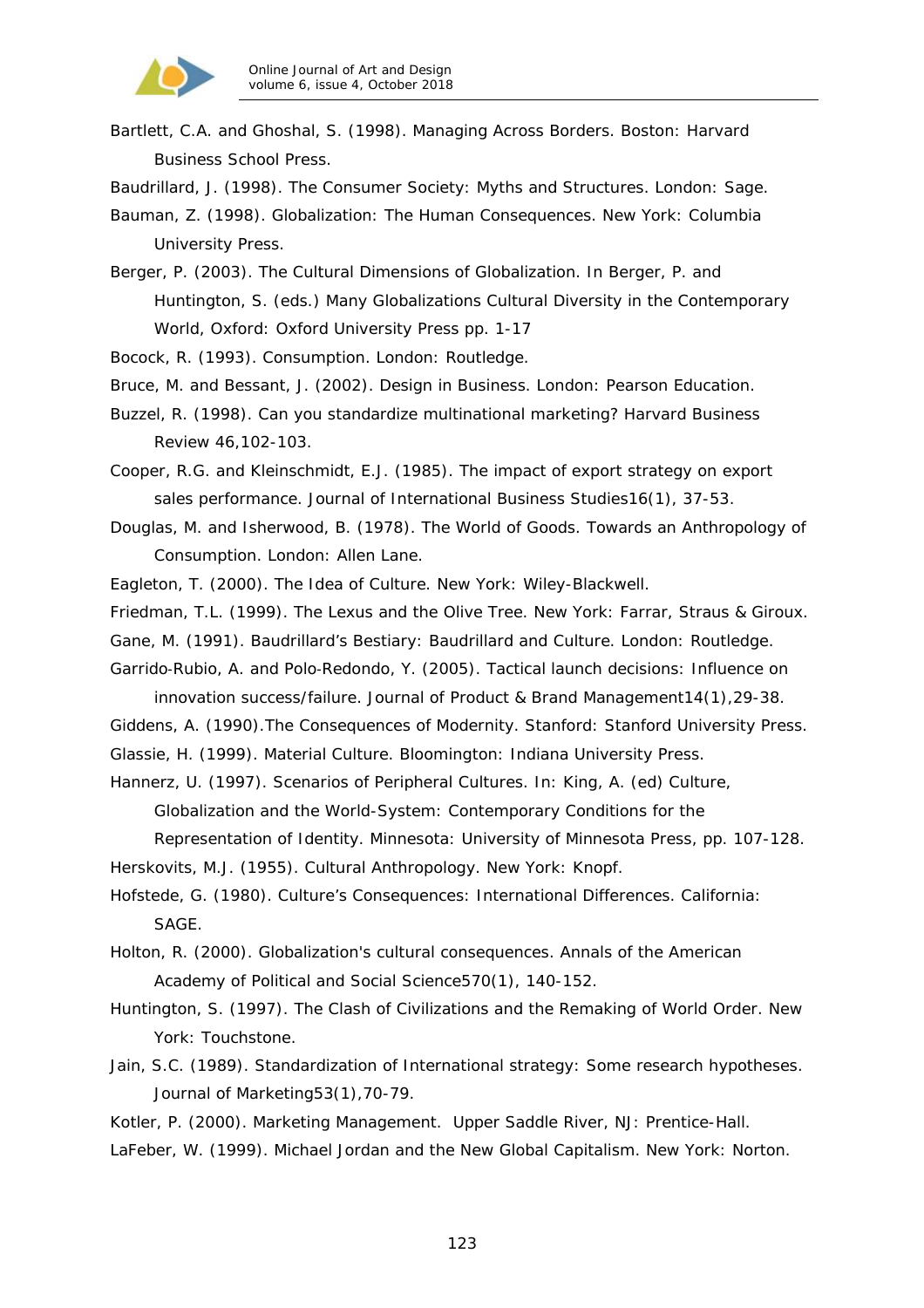

Bartlett, C.A. and Ghoshal, S. (1998). *Managing Across Borders*. Boston: Harvard Business School Press.

Baudrillard, J. (1998). *The Consumer Society: Myths and Structures.* London: Sage.

Bauman, Z. (1998). *Globalization: The Human Consequences*. New York: Columbia University Press.

Berger, P. (2003). The Cultural Dimensions of Globalization. In Berger, P. and Huntington, S. (eds.) *Many Globalizations Cultural Diversity in the Contemporary World*, Oxford: Oxford University Press pp. 1-17

Bocock, R. (1993). *Consumption*. London: Routledge.

- Bruce, M. and Bessant, J. (2002). *Design in Business*. London: Pearson Education.
- Buzzel, R. (1998). Can you standardize multinational marketing? *Harvard Business Review* 46,102-103.

Cooper, R.G. and Kleinschmidt, E.J. (1985). The impact of export strategy on export sales performance. *Journal of International Business Studies16*(1), 37-53.

- Douglas, M. and Isherwood, B. (1978). *The World of Goods. Towards an Anthropology of Consumption.* London: Allen Lane.
- Eagleton, T. (2000). *The Idea of Culture*. New York: Wiley-Blackwell.
- Friedman, T.L. (1999). *The Lexus and the Olive Tree.* New York: Farrar, Straus & Giroux.
- Gane, M. (1991). *Baudrillard's Bestiary: Baudrillard and Culture*. London: Routledge.
- Garrido‐Rubio, A. and Polo‐Redondo, Y. (2005). Tactical launch decisions: Influence on innovation success/failure. *Journal of Product & Brand Management14*(1),29-38.
- Giddens, A. (1990).*The Consequences of Modernity.* Stanford: Stanford University Press.
- Glassie, H. (1999). *Material Culture*. Bloomington: Indiana University Press.
- Hannerz, U. (1997). Scenarios of Peripheral Cultures. In: King, A. (ed) *Culture, Globalization and the World-System: Contemporary Conditions for the*

*Representation of Identity*. Minnesota: University of Minnesota Press, pp. 107-128.

Herskovits, M.J. (1955). *Cultural Anthropology.* New York: Knopf.

Hofstede, G. (1980). *Culture's Consequences: International Differences*. California: SAGE.

- Holton, R. (2000). Globalization's cultural consequences. *Annals of the American Academy of Political and Social Science570*(1), 140-152.
- Huntington, S. (1997). *The Clash of Civilizations and the Remaking of World Order.* New York: Touchstone.
- Jain, S.C. (1989). Standardization of International strategy: Some research hypotheses. *Journal of Marketing53*(1),70-79.
- Kotler, P. (2000). *Marketing Management.* Upper Saddle River, NJ: Prentice-Hall.
- LaFeber, W. (1999). *Michael Jordan and the New Global Capitalism.* New York: Norton.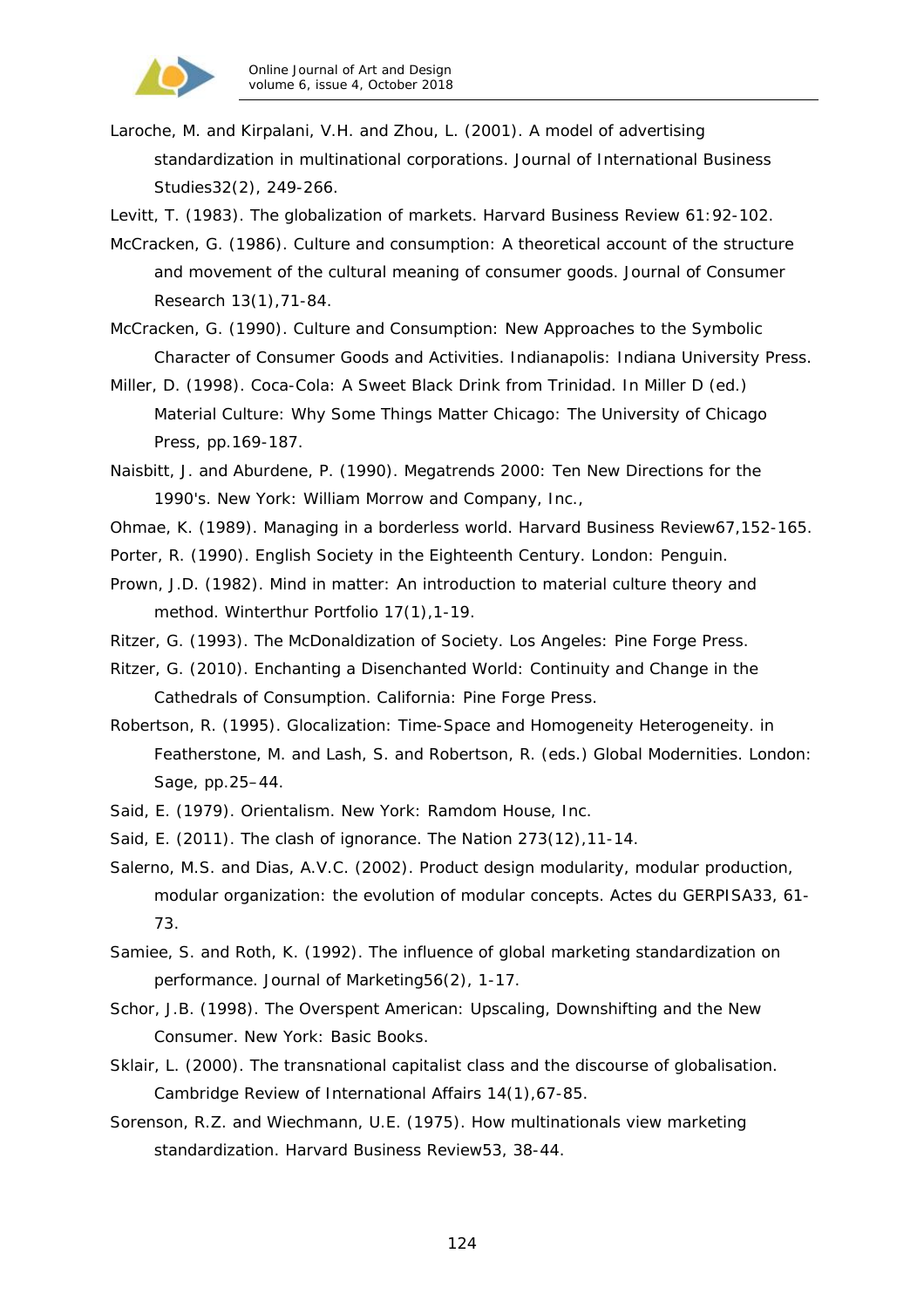

Laroche, M. and Kirpalani, V.H. and Zhou, L. (2001). A model of advertising standardization in multinational corporations. *Journal of International Business Studies32*(2), 249-266.

Levitt, T. (1983). The globalization of markets. *Harvard Business Review* 61:92-102.

- McCracken, G. (1986). Culture and consumption: A theoretical account of the structure and movement of the cultural meaning of consumer goods. *Journal of Consumer Research 13*(1),71-84.
- McCracken, G. (1990). *Culture and Consumption: New Approaches to the Symbolic Character of Consumer Goods and Activities.* Indianapolis: Indiana University Press.
- Miller, D. (1998). Coca-Cola: A Sweet Black Drink from Trinidad. In Miller D (ed.) *Material Culture: Why Some Things Matter* Chicago: The University of Chicago Press, pp.169-187.
- Naisbitt, J. and Aburdene, P. (1990). *Megatrends 2000: Ten New Directions for the 1990's*. New York: William Morrow and Company, Inc.,
- Ohmae, K. (1989). Managing in a borderless world. *Harvard Business Review67*,152-165.
- Porter, R. (1990). *English Society in the Eighteenth Century*. London: Penguin.
- Prown, J.D. (1982). Mind in matter: An introduction to material culture theory and method. *Winterthur Portfolio 17*(1),1-19.
- Ritzer, G. (1993). *The McDonaldization of Society*. Los Angeles: Pine Forge Press.
- Ritzer, G. (2010). *Enchanting a Disenchanted World: Continuity and Change in the Cathedrals of Consumption.* California: Pine Forge Press.
- Robertson, R. (1995). Glocalization: Time-Space and Homogeneity Heterogeneity. in Featherstone, M. and Lash, S. and Robertson, R. (eds.) *Global Modernities*. London: Sage, pp.25–44.
- Said, E. (1979). *Orientalism.* New York: Ramdom House, Inc.
- Said, E. (2011). The clash of ignorance. *The Nation 273*(12),11-14.
- Salerno, M.S. and Dias, A.V.C. (2002). Product design modularity, modular production, modular organization: the evolution of modular concepts. *Actes du GERPISA33*, 61- 73.
- Samiee, S. and Roth, K. (1992). The influence of global marketing standardization on performance. *Journal of Marketing56*(2), 1-17.
- Schor, J.B. (1998). *The Overspent American: Upscaling, Downshifting and the New Consumer*. New York: Basic Books.
- Sklair, L. (2000). The transnational capitalist class and the discourse of globalisation. *Cambridge Review of International Affairs 14*(1),67-85.
- Sorenson, R.Z. and Wiechmann, U.E. (1975). How multinationals view marketing standardization. *Harvard Business Review53*, 38-44.